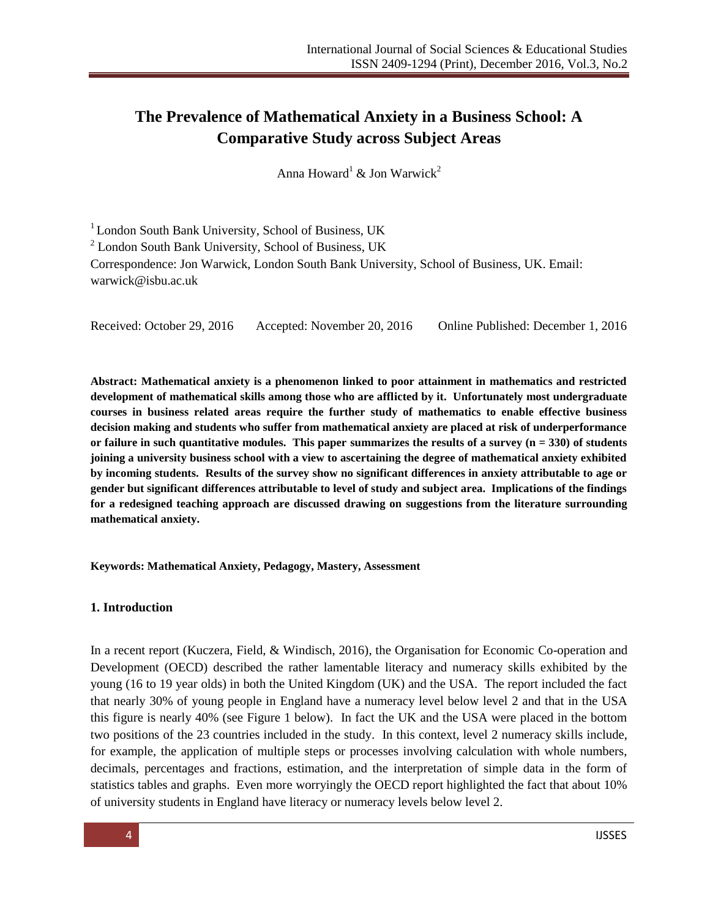# **The Prevalence of Mathematical Anxiety in a Business School: A Comparative Study across Subject Areas**

Anna Howard<sup>1</sup> & Jon Warwick<sup>2</sup>

<sup>1</sup> London South Bank University, School of Business, UK <sup>2</sup> London South Bank University, School of Business, UK Correspondence: Jon Warwick, London South Bank University, School of Business, UK. Email: warwick@isbu.ac.uk

Received: October 29, 2016 Accepted: November 20, 2016 Online Published: December 1, 2016

**Abstract: Mathematical anxiety is a phenomenon linked to poor attainment in mathematics and restricted development of mathematical skills among those who are afflicted by it. Unfortunately most undergraduate courses in business related areas require the further study of mathematics to enable effective business decision making and students who suffer from mathematical anxiety are placed at risk of underperformance or failure in such quantitative modules. This paper summarizes the results of a survey (n = 330) of students joining a university business school with a view to ascertaining the degree of mathematical anxiety exhibited by incoming students. Results of the survey show no significant differences in anxiety attributable to age or gender but significant differences attributable to level of study and subject area. Implications of the findings for a redesigned teaching approach are discussed drawing on suggestions from the literature surrounding mathematical anxiety.**

**Keywords: Mathematical Anxiety, Pedagogy, Mastery, Assessment**

#### **1. Introduction**

In a recent report (Kuczera, Field, & Windisch, 2016), the Organisation for Economic Co-operation and Development (OECD) described the rather lamentable literacy and numeracy skills exhibited by the young (16 to 19 year olds) in both the United Kingdom (UK) and the USA. The report included the fact that nearly 30% of young people in England have a numeracy level below level 2 and that in the USA this figure is nearly 40% (see Figure 1 below). In fact the UK and the USA were placed in the bottom two positions of the 23 countries included in the study. In this context, level 2 numeracy skills include, for example, the application of multiple steps or processes involving calculation with whole numbers, decimals, percentages and fractions, estimation, and the interpretation of simple data in the form of statistics tables and graphs. Even more worryingly the OECD report highlighted the fact that about 10% of university students in England have literacy or numeracy levels below level 2.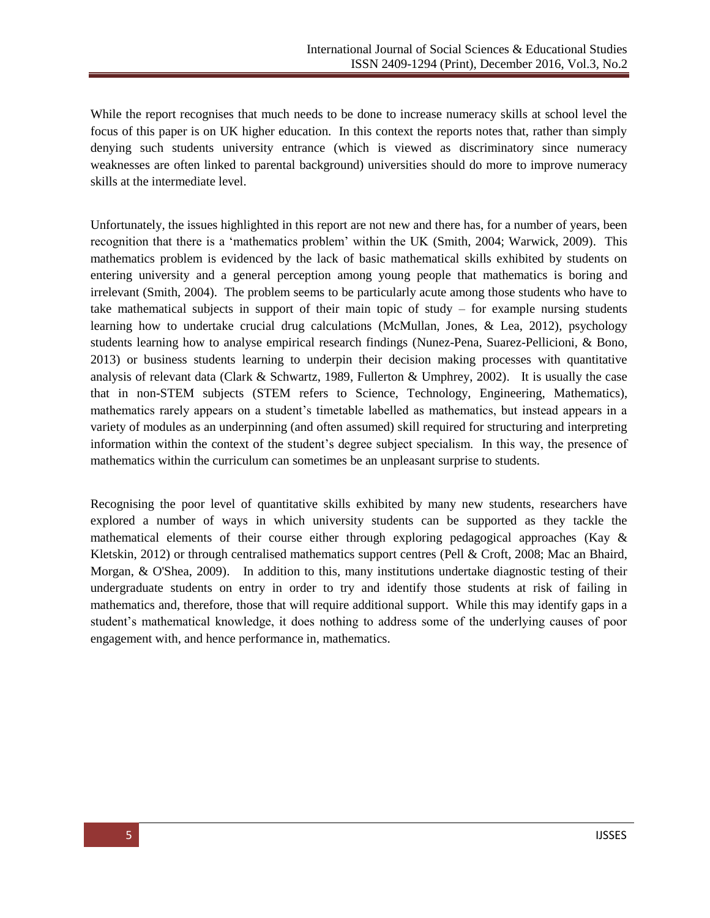While the report recognises that much needs to be done to increase numeracy skills at school level the focus of this paper is on UK higher education. In this context the reports notes that, rather than simply denying such students university entrance (which is viewed as discriminatory since numeracy weaknesses are often linked to parental background) universities should do more to improve numeracy skills at the intermediate level.

Unfortunately, the issues highlighted in this report are not new and there has, for a number of years, been recognition that there is a 'mathematics problem' within the UK (Smith, 2004; Warwick, 2009). This mathematics problem is evidenced by the lack of basic mathematical skills exhibited by students on entering university and a general perception among young people that mathematics is boring and irrelevant (Smith, 2004). The problem seems to be particularly acute among those students who have to take mathematical subjects in support of their main topic of study – for example nursing students learning how to undertake crucial drug calculations (McMullan, Jones, & Lea, 2012), psychology students learning how to analyse empirical research findings (Nunez-Pena, Suarez-Pellicioni, & Bono, 2013) or business students learning to underpin their decision making processes with quantitative analysis of relevant data (Clark & Schwartz, 1989, Fullerton & Umphrey, 2002). It is usually the case that in non-STEM subjects (STEM refers to Science, Technology, Engineering, Mathematics), mathematics rarely appears on a student's timetable labelled as mathematics, but instead appears in a variety of modules as an underpinning (and often assumed) skill required for structuring and interpreting information within the context of the student's degree subject specialism. In this way, the presence of mathematics within the curriculum can sometimes be an unpleasant surprise to students.

Recognising the poor level of quantitative skills exhibited by many new students, researchers have explored a number of ways in which university students can be supported as they tackle the mathematical elements of their course either through exploring pedagogical approaches (Kay & Kletskin, 2012) or through centralised mathematics support centres (Pell & Croft, 2008; Mac an Bhaird, Morgan, & O'Shea, 2009). In addition to this, many institutions undertake diagnostic testing of their undergraduate students on entry in order to try and identify those students at risk of failing in mathematics and, therefore, those that will require additional support. While this may identify gaps in a student's mathematical knowledge, it does nothing to address some of the underlying causes of poor engagement with, and hence performance in, mathematics.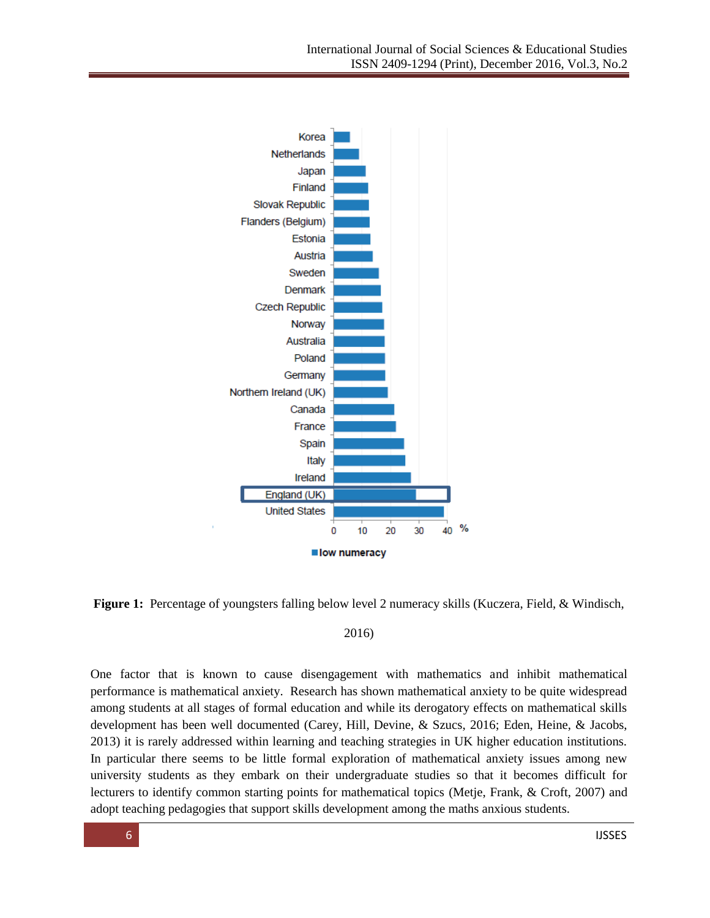



#### 2016)

One factor that is known to cause disengagement with mathematics and inhibit mathematical performance is mathematical anxiety. Research has shown mathematical anxiety to be quite widespread among students at all stages of formal education and while its derogatory effects on mathematical skills development has been well documented (Carey, Hill, Devine, & Szucs, 2016; Eden, Heine, & Jacobs, 2013) it is rarely addressed within learning and teaching strategies in UK higher education institutions. In particular there seems to be little formal exploration of mathematical anxiety issues among new university students as they embark on their undergraduate studies so that it becomes difficult for lecturers to identify common starting points for mathematical topics (Metje, Frank, & Croft, 2007) and adopt teaching pedagogies that support skills development among the maths anxious students.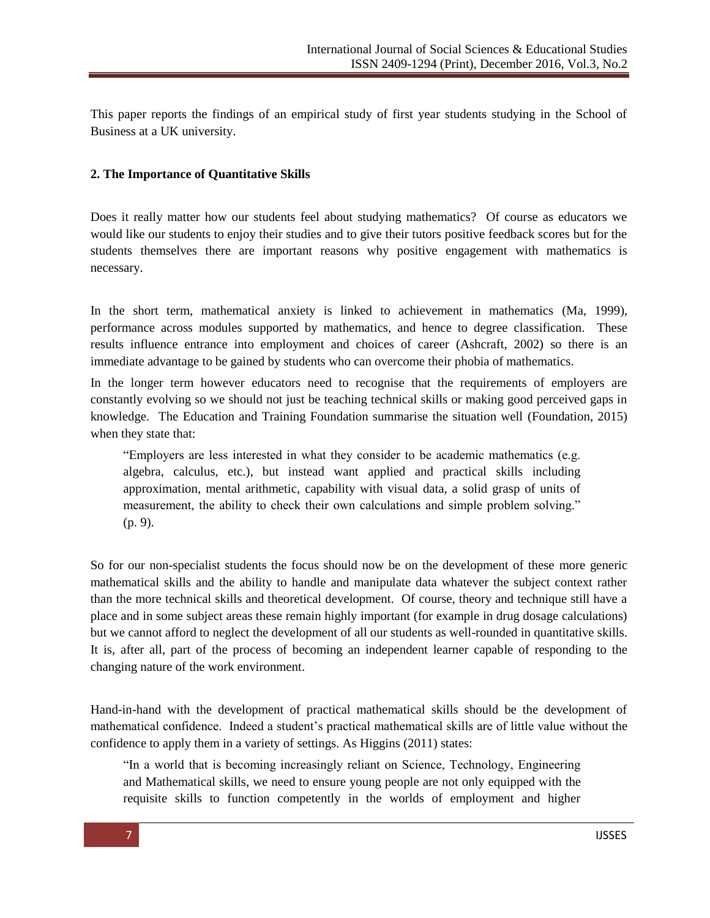This paper reports the findings of an empirical study of first year students studying in the School of Business at a UK university.

#### **2. The Importance of Quantitative Skills**

Does it really matter how our students feel about studying mathematics? Of course as educators we would like our students to enjoy their studies and to give their tutors positive feedback scores but for the students themselves there are important reasons why positive engagement with mathematics is necessary.

In the short term, mathematical anxiety is linked to achievement in mathematics (Ma, 1999), performance across modules supported by mathematics, and hence to degree classification. These results influence entrance into employment and choices of career (Ashcraft, 2002) so there is an immediate advantage to be gained by students who can overcome their phobia of mathematics.

In the longer term however educators need to recognise that the requirements of employers are constantly evolving so we should not just be teaching technical skills or making good perceived gaps in knowledge. The Education and Training Foundation summarise the situation well (Foundation, 2015) when they state that:

―Employers are less interested in what they consider to be academic mathematics (e.g. algebra, calculus, etc.), but instead want applied and practical skills including approximation, mental arithmetic, capability with visual data, a solid grasp of units of measurement, the ability to check their own calculations and simple problem solving." (p. 9).

So for our non-specialist students the focus should now be on the development of these more generic mathematical skills and the ability to handle and manipulate data whatever the subject context rather than the more technical skills and theoretical development. Of course, theory and technique still have a place and in some subject areas these remain highly important (for example in drug dosage calculations) but we cannot afford to neglect the development of all our students as well-rounded in quantitative skills. It is, after all, part of the process of becoming an independent learner capable of responding to the changing nature of the work environment.

Hand-in-hand with the development of practical mathematical skills should be the development of mathematical confidence. Indeed a student's practical mathematical skills are of little value without the confidence to apply them in a variety of settings. As Higgins (2011) states:

"In a world that is becoming increasingly reliant on Science, Technology, Engineering and Mathematical skills, we need to ensure young people are not only equipped with the requisite skills to function competently in the worlds of employment and higher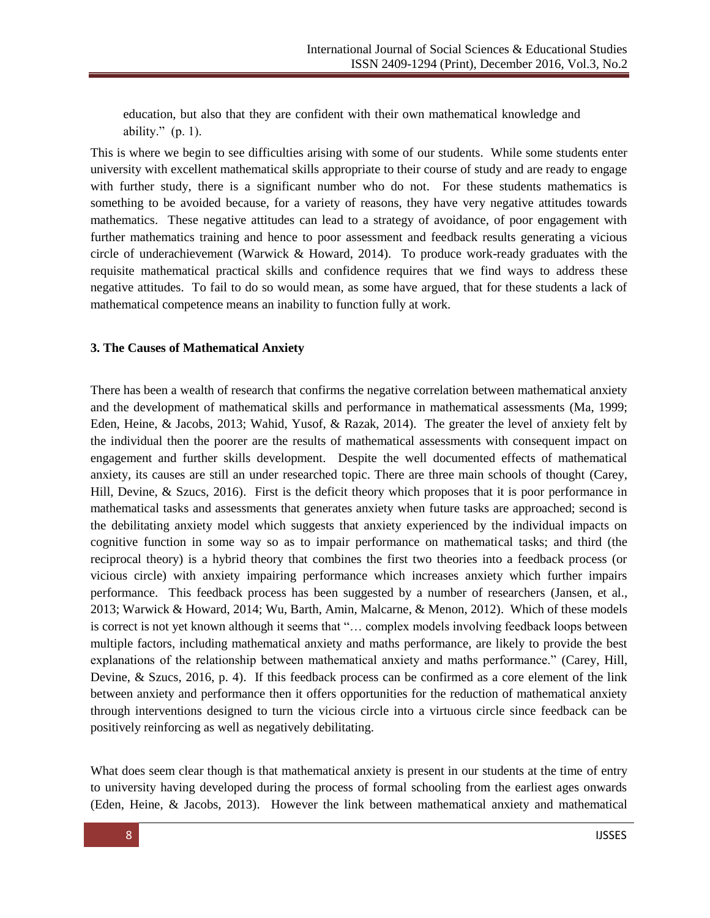education, but also that they are confident with their own mathematical knowledge and ability."  $(p. 1)$ .

This is where we begin to see difficulties arising with some of our students. While some students enter university with excellent mathematical skills appropriate to their course of study and are ready to engage with further study, there is a significant number who do not. For these students mathematics is something to be avoided because, for a variety of reasons, they have very negative attitudes towards mathematics. These negative attitudes can lead to a strategy of avoidance, of poor engagement with further mathematics training and hence to poor assessment and feedback results generating a vicious circle of underachievement (Warwick & Howard, 2014). To produce work-ready graduates with the requisite mathematical practical skills and confidence requires that we find ways to address these negative attitudes. To fail to do so would mean, as some have argued, that for these students a lack of mathematical competence means an inability to function fully at work.

#### **3. The Causes of Mathematical Anxiety**

There has been a wealth of research that confirms the negative correlation between mathematical anxiety and the development of mathematical skills and performance in mathematical assessments (Ma, 1999; Eden, Heine, & Jacobs, 2013; Wahid, Yusof, & Razak, 2014). The greater the level of anxiety felt by the individual then the poorer are the results of mathematical assessments with consequent impact on engagement and further skills development. Despite the well documented effects of mathematical anxiety, its causes are still an under researched topic. There are three main schools of thought (Carey, Hill, Devine, & Szucs, 2016). First is the deficit theory which proposes that it is poor performance in mathematical tasks and assessments that generates anxiety when future tasks are approached; second is the debilitating anxiety model which suggests that anxiety experienced by the individual impacts on cognitive function in some way so as to impair performance on mathematical tasks; and third (the reciprocal theory) is a hybrid theory that combines the first two theories into a feedback process (or vicious circle) with anxiety impairing performance which increases anxiety which further impairs performance. This feedback process has been suggested by a number of researchers (Jansen, et al., 2013; Warwick & Howard, 2014; Wu, Barth, Amin, Malcarne, & Menon, 2012). Which of these models is correct is not yet known although it seems that "... complex models involving feedback loops between multiple factors, including mathematical anxiety and maths performance, are likely to provide the best explanations of the relationship between mathematical anxiety and maths performance." (Carey, Hill, Devine, & Szucs, 2016, p. 4). If this feedback process can be confirmed as a core element of the link between anxiety and performance then it offers opportunities for the reduction of mathematical anxiety through interventions designed to turn the vicious circle into a virtuous circle since feedback can be positively reinforcing as well as negatively debilitating.

What does seem clear though is that mathematical anxiety is present in our students at the time of entry to university having developed during the process of formal schooling from the earliest ages onwards (Eden, Heine, & Jacobs, 2013). However the link between mathematical anxiety and mathematical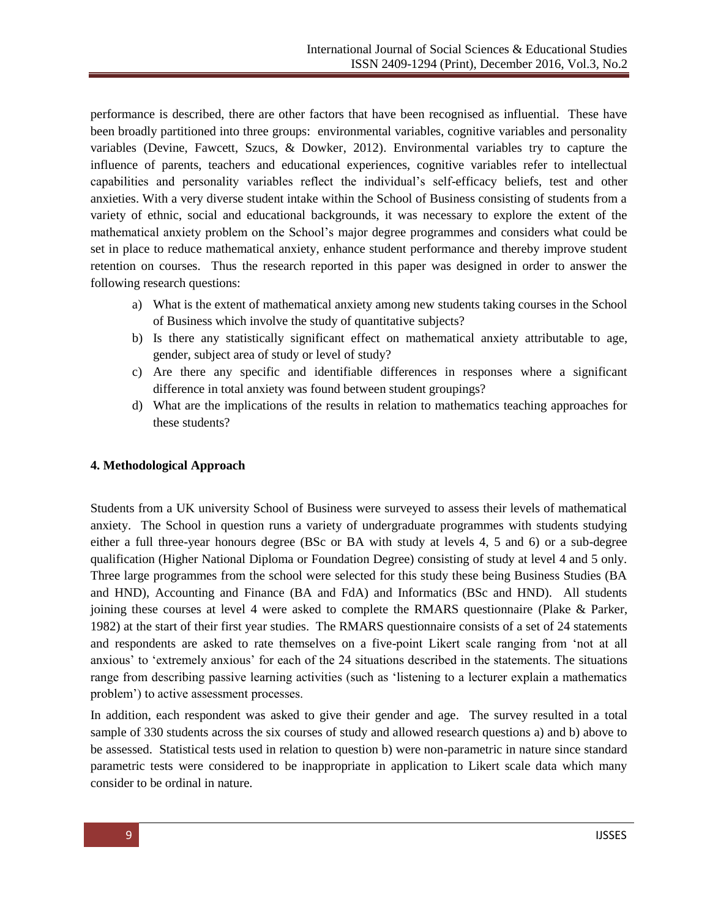performance is described, there are other factors that have been recognised as influential. These have been broadly partitioned into three groups: environmental variables, cognitive variables and personality variables (Devine, Fawcett, Szucs, & Dowker, 2012). Environmental variables try to capture the influence of parents, teachers and educational experiences, cognitive variables refer to intellectual capabilities and personality variables reflect the individual's self-efficacy beliefs, test and other anxieties. With a very diverse student intake within the School of Business consisting of students from a variety of ethnic, social and educational backgrounds, it was necessary to explore the extent of the mathematical anxiety problem on the School's major degree programmes and considers what could be set in place to reduce mathematical anxiety, enhance student performance and thereby improve student retention on courses. Thus the research reported in this paper was designed in order to answer the following research questions:

- a) What is the extent of mathematical anxiety among new students taking courses in the School of Business which involve the study of quantitative subjects?
- b) Is there any statistically significant effect on mathematical anxiety attributable to age, gender, subject area of study or level of study?
- c) Are there any specific and identifiable differences in responses where a significant difference in total anxiety was found between student groupings?
- d) What are the implications of the results in relation to mathematics teaching approaches for these students?

#### **4. Methodological Approach**

Students from a UK university School of Business were surveyed to assess their levels of mathematical anxiety. The School in question runs a variety of undergraduate programmes with students studying either a full three-year honours degree (BSc or BA with study at levels 4, 5 and 6) or a sub-degree qualification (Higher National Diploma or Foundation Degree) consisting of study at level 4 and 5 only. Three large programmes from the school were selected for this study these being Business Studies (BA and HND), Accounting and Finance (BA and FdA) and Informatics (BSc and HND). All students joining these courses at level 4 were asked to complete the RMARS questionnaire (Plake & Parker, 1982) at the start of their first year studies. The RMARS questionnaire consists of a set of 24 statements and respondents are asked to rate themselves on a five-point Likert scale ranging from 'not at all anxious' to ‗extremely anxious' for each of the 24 situations described in the statements. The situations range from describing passive learning activities (such as 'listening to a lecturer explain a mathematics problem') to active assessment processes.

In addition, each respondent was asked to give their gender and age. The survey resulted in a total sample of 330 students across the six courses of study and allowed research questions a) and b) above to be assessed. Statistical tests used in relation to question b) were non-parametric in nature since standard parametric tests were considered to be inappropriate in application to Likert scale data which many consider to be ordinal in nature.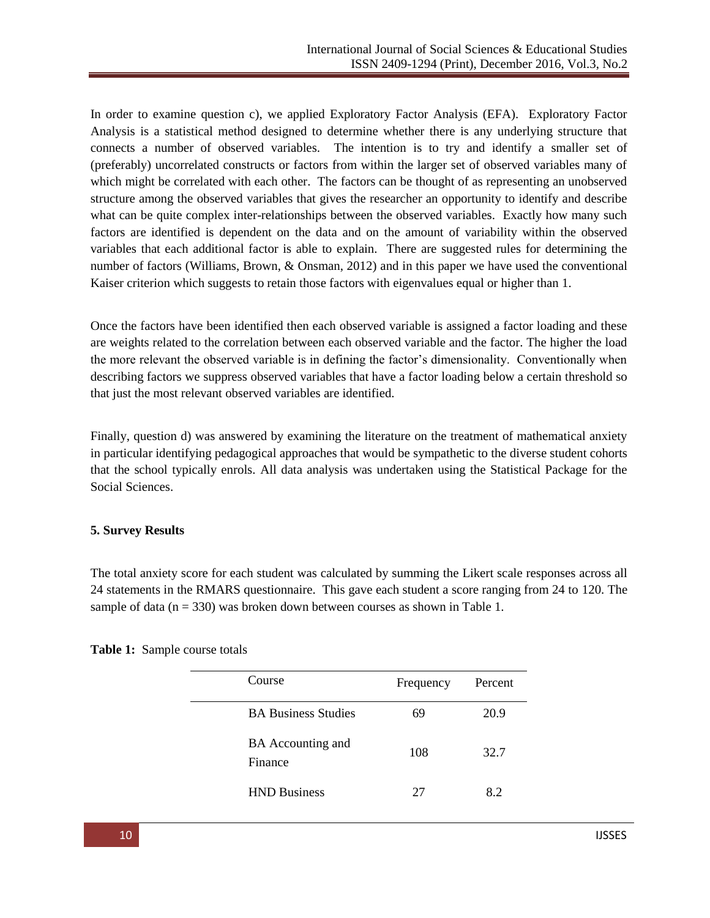In order to examine question c), we applied Exploratory Factor Analysis (EFA). Exploratory Factor Analysis is a statistical method designed to determine whether there is any underlying structure that connects a number of observed variables. The intention is to try and identify a smaller set of (preferably) uncorrelated constructs or factors from within the larger set of observed variables many of which might be correlated with each other. The factors can be thought of as representing an unobserved structure among the observed variables that gives the researcher an opportunity to identify and describe what can be quite complex inter-relationships between the observed variables. Exactly how many such factors are identified is dependent on the data and on the amount of variability within the observed variables that each additional factor is able to explain. There are suggested rules for determining the number of factors (Williams, Brown, & Onsman, 2012) and in this paper we have used the conventional Kaiser criterion which suggests to retain those factors with eigenvalues equal or higher than 1.

Once the factors have been identified then each observed variable is assigned a factor loading and these are weights related to the correlation between each observed variable and the factor. The higher the load the more relevant the observed variable is in defining the factor's dimensionality. Conventionally when describing factors we suppress observed variables that have a factor loading below a certain threshold so that just the most relevant observed variables are identified.

Finally, question d) was answered by examining the literature on the treatment of mathematical anxiety in particular identifying pedagogical approaches that would be sympathetic to the diverse student cohorts that the school typically enrols. All data analysis was undertaken using the Statistical Package for the Social Sciences.

#### **5. Survey Results**

The total anxiety score for each student was calculated by summing the Likert scale responses across all 24 statements in the RMARS questionnaire. This gave each student a score ranging from 24 to 120. The sample of data ( $n = 330$ ) was broken down between courses as shown in Table 1.

| Course                              | Frequency | Percent |
|-------------------------------------|-----------|---------|
| <b>BA Business Studies</b>          | 69        | 20.9    |
| <b>BA</b> Accounting and<br>Finance | 108       | 32.7    |
| <b>HND Business</b>                 | 27        | 8.2     |

**Table 1:** Sample course totals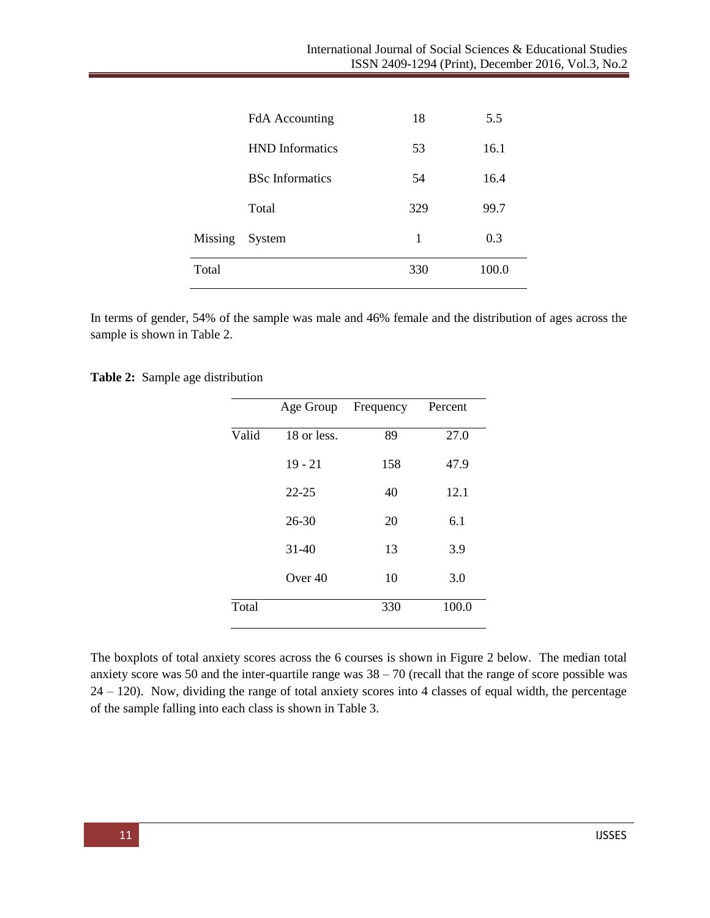|         | <b>FdA</b> Accounting  | 18  | 5.5   |
|---------|------------------------|-----|-------|
|         | <b>HND</b> Informatics | 53  | 16.1  |
|         | <b>BSc</b> Informatics | 54  | 16.4  |
|         | Total                  | 329 | 99.7  |
| Missing | System                 | 1   | 0.3   |
| Total   |                        | 330 | 100.0 |
|         |                        |     |       |

In terms of gender, 54% of the sample was male and 46% female and the distribution of ages across the sample is shown in Table 2.

**Table 2:** Sample age distribution

|       | Age Group   | Frequency | Percent |
|-------|-------------|-----------|---------|
| Valid | 18 or less. | 89        | 27.0    |
|       | $19 - 21$   | 158       | 47.9    |
|       | $22 - 25$   | 40        | 12.1    |
|       | $26 - 30$   | 20        | 6.1     |
|       | $31 - 40$   | 13        | 3.9     |
|       | Over $40$   | 10        | 3.0     |
| Total |             | 330       | 100.0   |

The boxplots of total anxiety scores across the 6 courses is shown in Figure 2 below. The median total anxiety score was 50 and the inter-quartile range was  $38 - 70$  (recall that the range of score possible was 24 – 120). Now, dividing the range of total anxiety scores into 4 classes of equal width, the percentage of the sample falling into each class is shown in Table 3.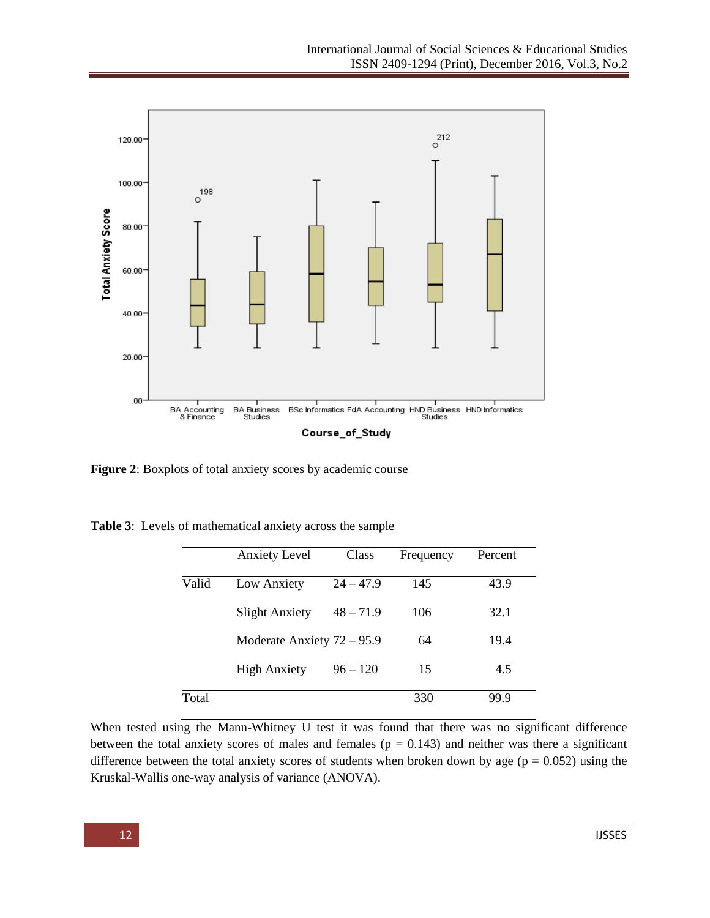

**Figure 2**: Boxplots of total anxiety scores by academic course

|       | <b>Anxiety Level</b>         | Class       | Frequency | Percent |
|-------|------------------------------|-------------|-----------|---------|
| Valid | Low Anxiety                  | $24 - 47.9$ | 145       | 43.9    |
|       | <b>Slight Anxiety</b>        | $48 - 71.9$ | 106       | 32.1    |
|       | Moderate Anxiety $72 - 95.9$ |             | 64        | 19.4    |
|       | <b>High Anxiety</b>          | $96 - 120$  | 15        | 4.5     |
| Total |                              |             | 330       | 99.9    |

**Table 3**: Levels of mathematical anxiety across the sample

When tested using the Mann-Whitney U test it was found that there was no significant difference between the total anxiety scores of males and females ( $p = 0.143$ ) and neither was there a significant difference between the total anxiety scores of students when broken down by age ( $p = 0.052$ ) using the Kruskal-Wallis one-way analysis of variance (ANOVA).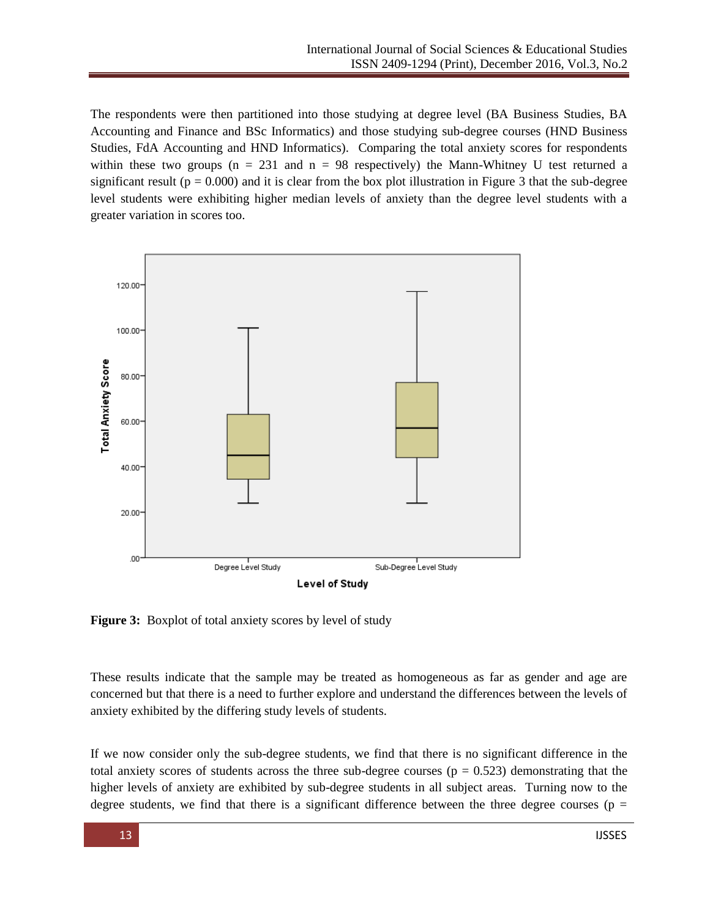The respondents were then partitioned into those studying at degree level (BA Business Studies, BA Accounting and Finance and BSc Informatics) and those studying sub-degree courses (HND Business Studies, FdA Accounting and HND Informatics). Comparing the total anxiety scores for respondents within these two groups ( $n = 231$  and  $n = 98$  respectively) the Mann-Whitney U test returned a significant result ( $p = 0.000$ ) and it is clear from the box plot illustration in Figure 3 that the sub-degree level students were exhibiting higher median levels of anxiety than the degree level students with a greater variation in scores too.



**Figure 3:** Boxplot of total anxiety scores by level of study

These results indicate that the sample may be treated as homogeneous as far as gender and age are concerned but that there is a need to further explore and understand the differences between the levels of anxiety exhibited by the differing study levels of students.

If we now consider only the sub-degree students, we find that there is no significant difference in the total anxiety scores of students across the three sub-degree courses ( $p = 0.523$ ) demonstrating that the higher levels of anxiety are exhibited by sub-degree students in all subject areas. Turning now to the degree students, we find that there is a significant difference between the three degree courses ( $p =$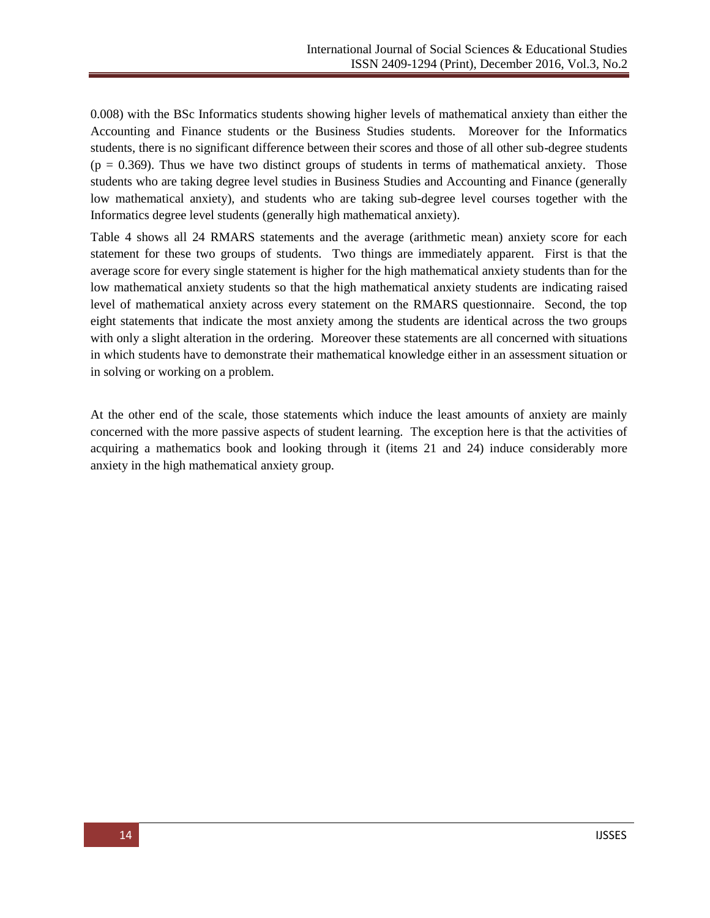0.008) with the BSc Informatics students showing higher levels of mathematical anxiety than either the Accounting and Finance students or the Business Studies students. Moreover for the Informatics students, there is no significant difference between their scores and those of all other sub-degree students  $(p = 0.369)$ . Thus we have two distinct groups of students in terms of mathematical anxiety. Those students who are taking degree level studies in Business Studies and Accounting and Finance (generally low mathematical anxiety), and students who are taking sub-degree level courses together with the Informatics degree level students (generally high mathematical anxiety).

Table 4 shows all 24 RMARS statements and the average (arithmetic mean) anxiety score for each statement for these two groups of students. Two things are immediately apparent. First is that the average score for every single statement is higher for the high mathematical anxiety students than for the low mathematical anxiety students so that the high mathematical anxiety students are indicating raised level of mathematical anxiety across every statement on the RMARS questionnaire. Second, the top eight statements that indicate the most anxiety among the students are identical across the two groups with only a slight alteration in the ordering. Moreover these statements are all concerned with situations in which students have to demonstrate their mathematical knowledge either in an assessment situation or in solving or working on a problem.

At the other end of the scale, those statements which induce the least amounts of anxiety are mainly concerned with the more passive aspects of student learning. The exception here is that the activities of acquiring a mathematics book and looking through it (items 21 and 24) induce considerably more anxiety in the high mathematical anxiety group.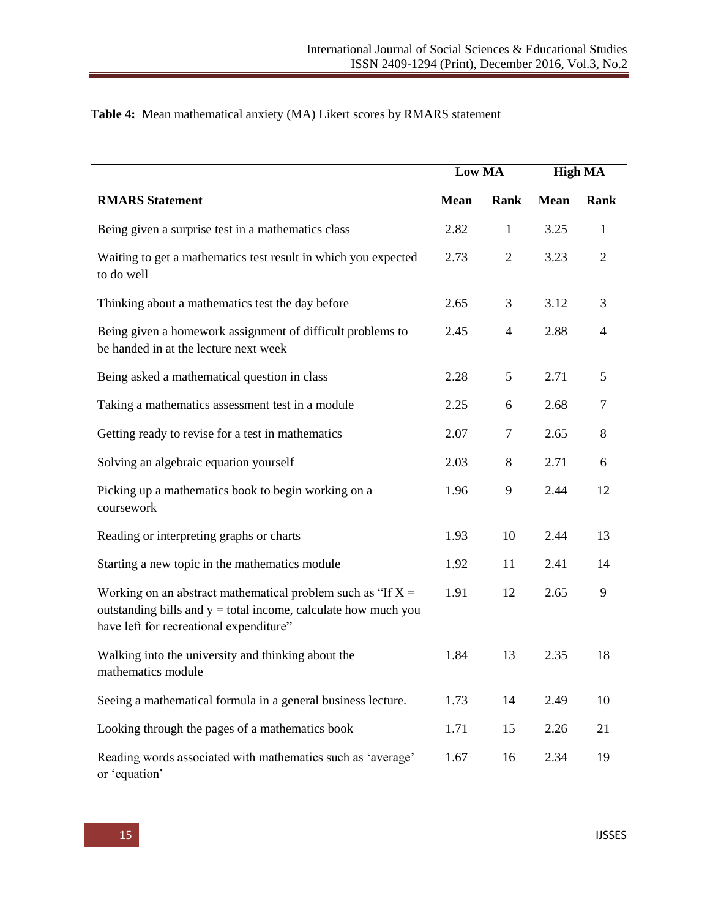|                                                                                                                                                                              | Low MA      |                |             | <b>High MA</b> |
|------------------------------------------------------------------------------------------------------------------------------------------------------------------------------|-------------|----------------|-------------|----------------|
| <b>RMARS</b> Statement                                                                                                                                                       | <b>Mean</b> | Rank           | <b>Mean</b> | Rank           |
| Being given a surprise test in a mathematics class                                                                                                                           | 2.82        | $\mathbf{1}$   | 3.25        | $\mathbf{1}$   |
| Waiting to get a mathematics test result in which you expected<br>to do well                                                                                                 | 2.73        | $\mathfrak{2}$ | 3.23        | $\overline{2}$ |
| Thinking about a mathematics test the day before                                                                                                                             | 2.65        | 3              | 3.12        | 3              |
| Being given a homework assignment of difficult problems to<br>be handed in at the lecture next week                                                                          | 2.45        | $\overline{4}$ | 2.88        | $\overline{4}$ |
| Being asked a mathematical question in class                                                                                                                                 | 2.28        | 5              | 2.71        | 5              |
| Taking a mathematics assessment test in a module                                                                                                                             | 2.25        | 6              | 2.68        | $\tau$         |
| Getting ready to revise for a test in mathematics                                                                                                                            | 2.07        | $\tau$         | 2.65        | 8              |
| Solving an algebraic equation yourself                                                                                                                                       | 2.03        | $8\,$          | 2.71        | 6              |
| Picking up a mathematics book to begin working on a<br>coursework                                                                                                            | 1.96        | 9              | 2.44        | 12             |
| Reading or interpreting graphs or charts                                                                                                                                     | 1.93        | 10             | 2.44        | 13             |
| Starting a new topic in the mathematics module                                                                                                                               | 1.92        | 11             | 2.41        | 14             |
| Working on an abstract mathematical problem such as "If $X =$<br>outstanding bills and $y =$ total income, calculate how much you<br>have left for recreational expenditure" | 1.91        | 12             | 2.65        | 9              |
| Walking into the university and thinking about the<br>mathematics module                                                                                                     | 1.84        | 13             | 2.35        | 18             |
| Seeing a mathematical formula in a general business lecture.                                                                                                                 | 1.73        | 14             | 2.49        | 10             |
| Looking through the pages of a mathematics book                                                                                                                              | 1.71        | 15             | 2.26        | 21             |
| Reading words associated with mathematics such as 'average'<br>or 'equation'                                                                                                 | 1.67        | 16             | 2.34        | 19             |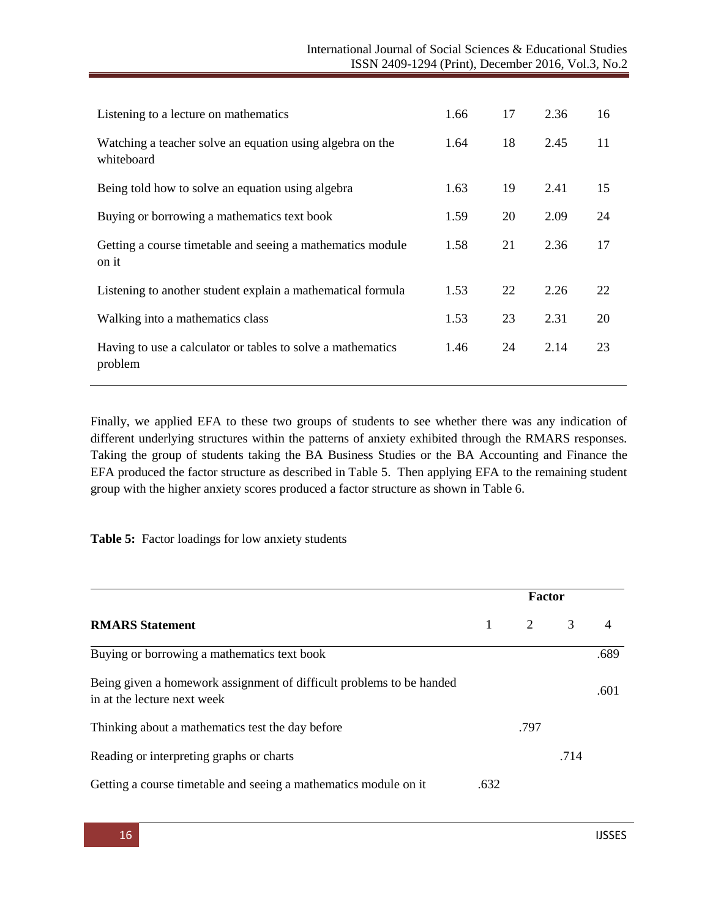| Listening to a lecture on mathematics                                   | 1.66 | 17 | 2.36 | 16 |
|-------------------------------------------------------------------------|------|----|------|----|
| Watching a teacher solve an equation using algebra on the<br>whiteboard | 1.64 | 18 | 2.45 | 11 |
| Being told how to solve an equation using algebra                       | 1.63 | 19 | 2.41 | 15 |
| Buying or borrowing a mathematics text book                             | 1.59 | 20 | 2.09 | 24 |
| Getting a course timetable and seeing a mathematics module<br>on it     | 1.58 | 21 | 2.36 | 17 |
| Listening to another student explain a mathematical formula             | 1.53 | 22 | 2.26 | 22 |
| Walking into a mathematics class                                        | 1.53 | 23 | 2.31 | 20 |
| Having to use a calculator or tables to solve a mathematics<br>problem  | 1.46 | 24 | 2.14 | 23 |

Finally, we applied EFA to these two groups of students to see whether there was any indication of different underlying structures within the patterns of anxiety exhibited through the RMARS responses. Taking the group of students taking the BA Business Studies or the BA Accounting and Finance the EFA produced the factor structure as described in Table 5. Then applying EFA to the remaining student group with the higher anxiety scores produced a factor structure as shown in Table 6.

**Table 5:** Factor loadings for low anxiety students

| <b>RMARS</b> Statement                                                                              |      | <b>Factor</b>       |      |                |  |
|-----------------------------------------------------------------------------------------------------|------|---------------------|------|----------------|--|
|                                                                                                     |      | $2 \qquad \qquad 3$ |      | $\overline{4}$ |  |
| Buying or borrowing a mathematics text book                                                         |      |                     |      | .689           |  |
| Being given a homework assignment of difficult problems to be handed<br>in at the lecture next week |      |                     |      | .601           |  |
| Thinking about a mathematics test the day before                                                    |      | .797                |      |                |  |
| Reading or interpreting graphs or charts                                                            |      |                     | .714 |                |  |
| Getting a course timetable and seeing a mathematics module on it                                    | .632 |                     |      |                |  |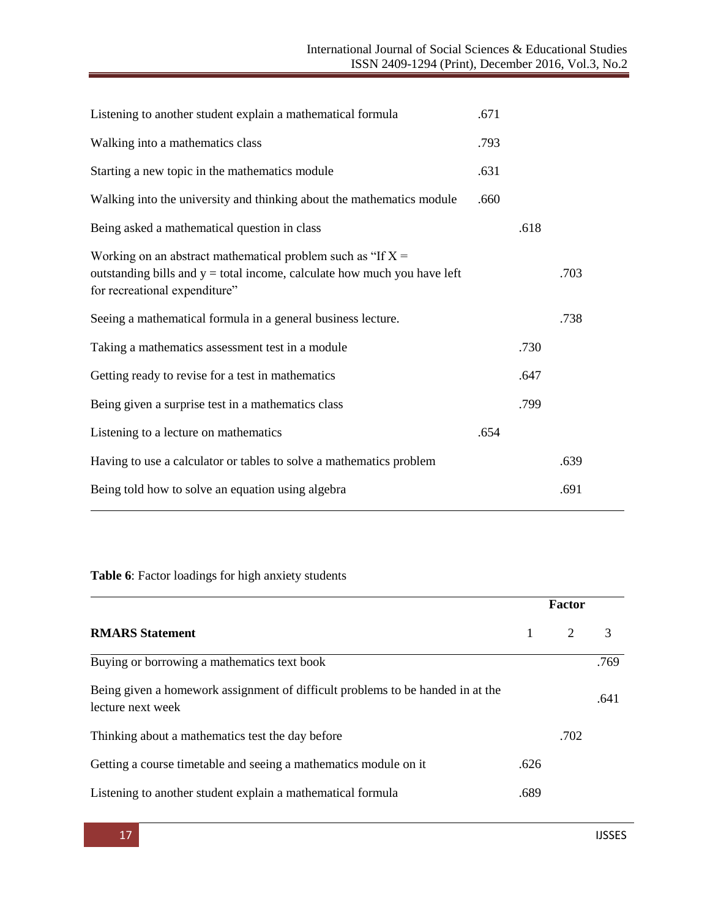| .671 |      |      |  |
|------|------|------|--|
| .793 |      |      |  |
| .631 |      |      |  |
| .660 |      |      |  |
|      | .618 |      |  |
|      |      | .703 |  |
|      |      | .738 |  |
|      | .730 |      |  |
|      | .647 |      |  |
|      | .799 |      |  |
| .654 |      |      |  |
|      |      | .639 |  |
|      |      | .691 |  |
|      |      |      |  |

# **Table 6**: Factor loadings for high anxiety students

|                                                                                                     |      | Factor                      |      |
|-----------------------------------------------------------------------------------------------------|------|-----------------------------|------|
| <b>RMARS</b> Statement                                                                              | 1    | $\mathcal{D}_{\mathcal{L}}$ | 3    |
| Buying or borrowing a mathematics text book                                                         |      |                             | .769 |
| Being given a homework assignment of difficult problems to be handed in at the<br>lecture next week |      |                             | .641 |
| Thinking about a mathematics test the day before                                                    |      | .702                        |      |
| Getting a course timetable and seeing a mathematics module on it                                    | .626 |                             |      |
| Listening to another student explain a mathematical formula                                         | .689 |                             |      |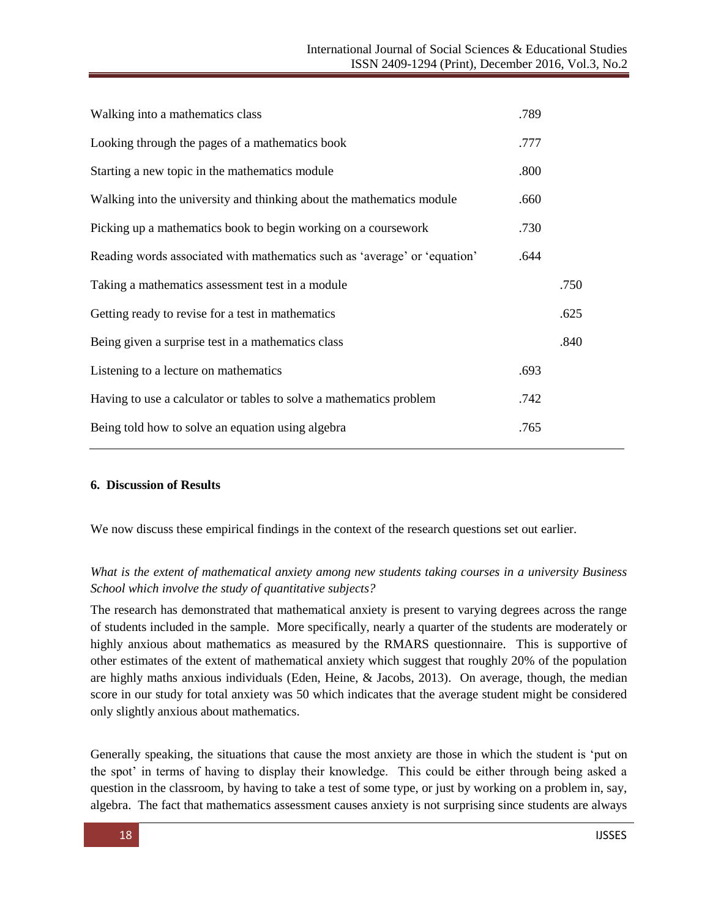| Walking into a mathematics class                                          | .789 |      |
|---------------------------------------------------------------------------|------|------|
| Looking through the pages of a mathematics book                           | .777 |      |
| Starting a new topic in the mathematics module                            | .800 |      |
| Walking into the university and thinking about the mathematics module     | .660 |      |
| Picking up a mathematics book to begin working on a coursework            | .730 |      |
| Reading words associated with mathematics such as 'average' or 'equation' | .644 |      |
| Taking a mathematics assessment test in a module                          |      | .750 |
| Getting ready to revise for a test in mathematics                         |      | .625 |
| Being given a surprise test in a mathematics class                        |      | .840 |
| Listening to a lecture on mathematics                                     | .693 |      |
| Having to use a calculator or tables to solve a mathematics problem       | .742 |      |
| Being told how to solve an equation using algebra                         | .765 |      |

#### **6. Discussion of Results**

We now discuss these empirical findings in the context of the research questions set out earlier.

## *What is the extent of mathematical anxiety among new students taking courses in a university Business School which involve the study of quantitative subjects?*

The research has demonstrated that mathematical anxiety is present to varying degrees across the range of students included in the sample. More specifically, nearly a quarter of the students are moderately or highly anxious about mathematics as measured by the RMARS questionnaire. This is supportive of other estimates of the extent of mathematical anxiety which suggest that roughly 20% of the population are highly maths anxious individuals (Eden, Heine, & Jacobs, 2013). On average, though, the median score in our study for total anxiety was 50 which indicates that the average student might be considered only slightly anxious about mathematics.

Generally speaking, the situations that cause the most anxiety are those in which the student is 'put on the spot' in terms of having to display their knowledge. This could be either through being asked a question in the classroom, by having to take a test of some type, or just by working on a problem in, say, algebra. The fact that mathematics assessment causes anxiety is not surprising since students are always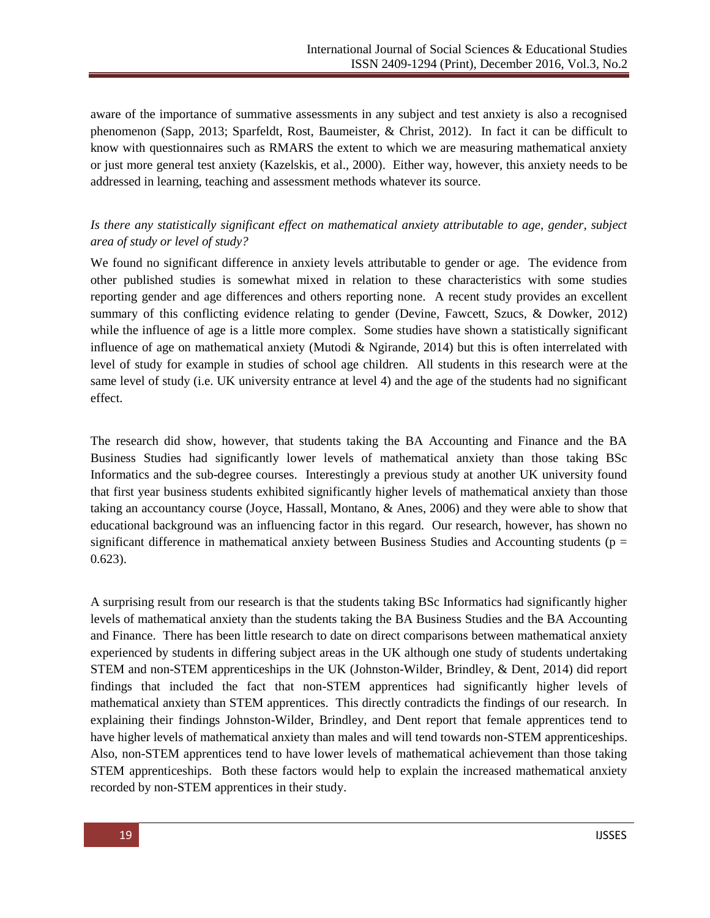aware of the importance of summative assessments in any subject and test anxiety is also a recognised phenomenon (Sapp, 2013; Sparfeldt, Rost, Baumeister, & Christ, 2012). In fact it can be difficult to know with questionnaires such as RMARS the extent to which we are measuring mathematical anxiety or just more general test anxiety (Kazelskis, et al., 2000). Either way, however, this anxiety needs to be addressed in learning, teaching and assessment methods whatever its source.

# *Is there any statistically significant effect on mathematical anxiety attributable to age, gender, subject area of study or level of study?*

We found no significant difference in anxiety levels attributable to gender or age. The evidence from other published studies is somewhat mixed in relation to these characteristics with some studies reporting gender and age differences and others reporting none. A recent study provides an excellent summary of this conflicting evidence relating to gender (Devine, Fawcett, Szucs, & Dowker, 2012) while the influence of age is a little more complex. Some studies have shown a statistically significant influence of age on mathematical anxiety (Mutodi & Ngirande, 2014) but this is often interrelated with level of study for example in studies of school age children. All students in this research were at the same level of study (i.e. UK university entrance at level 4) and the age of the students had no significant effect.

The research did show, however, that students taking the BA Accounting and Finance and the BA Business Studies had significantly lower levels of mathematical anxiety than those taking BSc Informatics and the sub-degree courses. Interestingly a previous study at another UK university found that first year business students exhibited significantly higher levels of mathematical anxiety than those taking an accountancy course (Joyce, Hassall, Montano, & Anes, 2006) and they were able to show that educational background was an influencing factor in this regard. Our research, however, has shown no significant difference in mathematical anxiety between Business Studies and Accounting students ( $p =$ 0.623).

A surprising result from our research is that the students taking BSc Informatics had significantly higher levels of mathematical anxiety than the students taking the BA Business Studies and the BA Accounting and Finance. There has been little research to date on direct comparisons between mathematical anxiety experienced by students in differing subject areas in the UK although one study of students undertaking STEM and non-STEM apprenticeships in the UK (Johnston-Wilder, Brindley, & Dent, 2014) did report findings that included the fact that non-STEM apprentices had significantly higher levels of mathematical anxiety than STEM apprentices. This directly contradicts the findings of our research. In explaining their findings Johnston-Wilder, Brindley, and Dent report that female apprentices tend to have higher levels of mathematical anxiety than males and will tend towards non-STEM apprenticeships. Also, non-STEM apprentices tend to have lower levels of mathematical achievement than those taking STEM apprenticeships. Both these factors would help to explain the increased mathematical anxiety recorded by non-STEM apprentices in their study.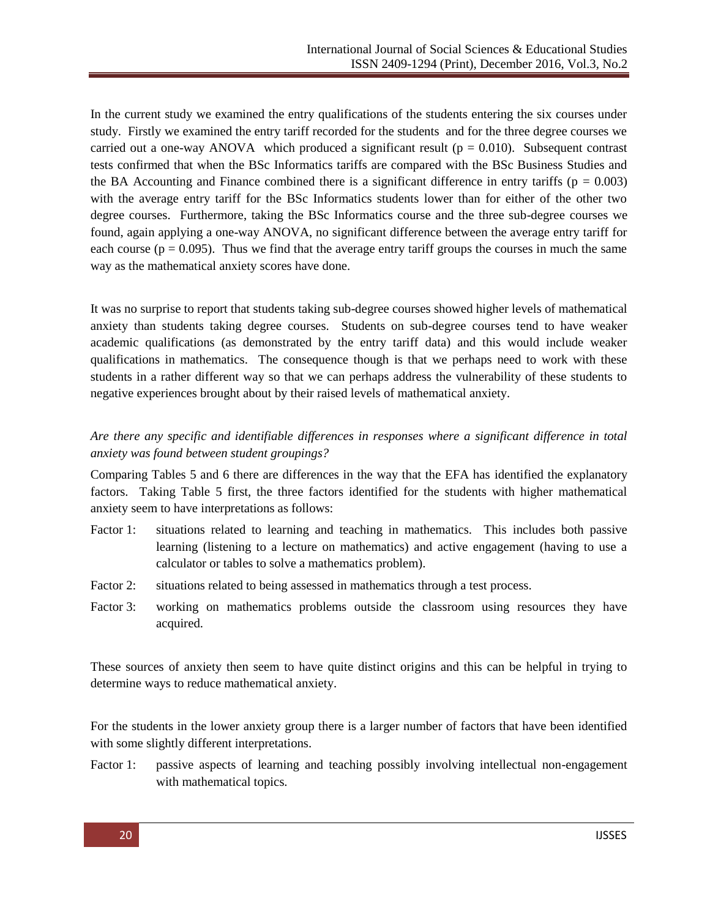In the current study we examined the entry qualifications of the students entering the six courses under study. Firstly we examined the entry tariff recorded for the students and for the three degree courses we carried out a one-way ANOVA which produced a significant result ( $p = 0.010$ ). Subsequent contrast tests confirmed that when the BSc Informatics tariffs are compared with the BSc Business Studies and the BA Accounting and Finance combined there is a significant difference in entry tariffs ( $p = 0.003$ ) with the average entry tariff for the BSc Informatics students lower than for either of the other two degree courses. Furthermore, taking the BSc Informatics course and the three sub-degree courses we found, again applying a one-way ANOVA, no significant difference between the average entry tariff for each course ( $p = 0.095$ ). Thus we find that the average entry tariff groups the courses in much the same way as the mathematical anxiety scores have done.

It was no surprise to report that students taking sub-degree courses showed higher levels of mathematical anxiety than students taking degree courses. Students on sub-degree courses tend to have weaker academic qualifications (as demonstrated by the entry tariff data) and this would include weaker qualifications in mathematics. The consequence though is that we perhaps need to work with these students in a rather different way so that we can perhaps address the vulnerability of these students to negative experiences brought about by their raised levels of mathematical anxiety.

## *Are there any specific and identifiable differences in responses where a significant difference in total anxiety was found between student groupings?*

Comparing Tables 5 and 6 there are differences in the way that the EFA has identified the explanatory factors. Taking Table 5 first, the three factors identified for the students with higher mathematical anxiety seem to have interpretations as follows:

- Factor 1: situations related to learning and teaching in mathematics. This includes both passive learning (listening to a lecture on mathematics) and active engagement (having to use a calculator or tables to solve a mathematics problem).
- Factor 2: situations related to being assessed in mathematics through a test process.
- Factor 3: working on mathematics problems outside the classroom using resources they have acquired.

These sources of anxiety then seem to have quite distinct origins and this can be helpful in trying to determine ways to reduce mathematical anxiety.

For the students in the lower anxiety group there is a larger number of factors that have been identified with some slightly different interpretations.

Factor 1: passive aspects of learning and teaching possibly involving intellectual non-engagement with mathematical topics.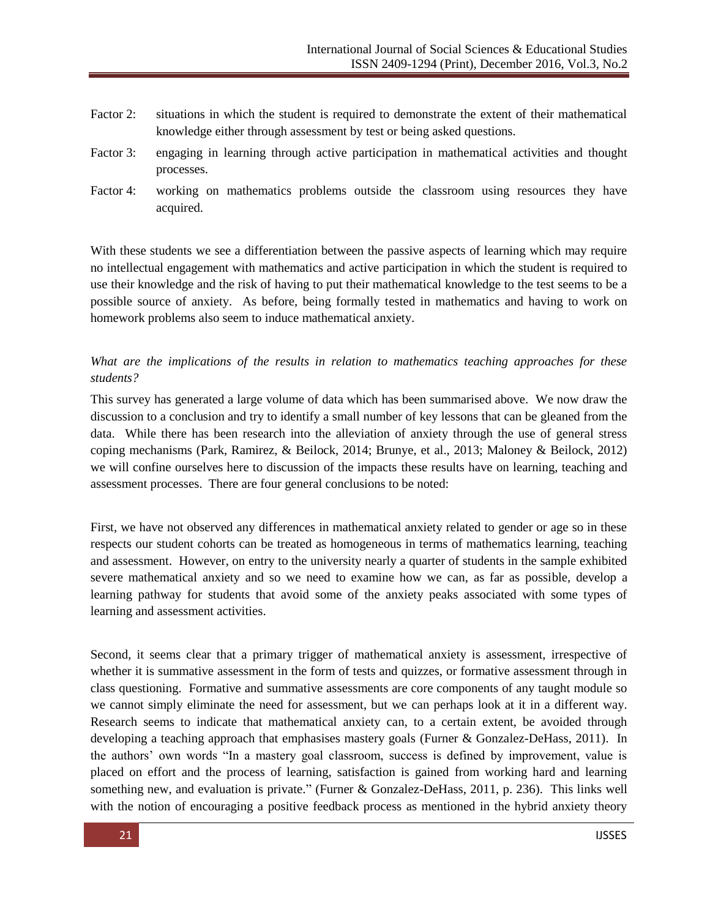- Factor 2: situations in which the student is required to demonstrate the extent of their mathematical knowledge either through assessment by test or being asked questions.
- Factor 3: engaging in learning through active participation in mathematical activities and thought processes.
- Factor 4: working on mathematics problems outside the classroom using resources they have acquired.

With these students we see a differentiation between the passive aspects of learning which may require no intellectual engagement with mathematics and active participation in which the student is required to use their knowledge and the risk of having to put their mathematical knowledge to the test seems to be a possible source of anxiety. As before, being formally tested in mathematics and having to work on homework problems also seem to induce mathematical anxiety.

## *What are the implications of the results in relation to mathematics teaching approaches for these students?*

This survey has generated a large volume of data which has been summarised above. We now draw the discussion to a conclusion and try to identify a small number of key lessons that can be gleaned from the data. While there has been research into the alleviation of anxiety through the use of general stress coping mechanisms (Park, Ramirez, & Beilock, 2014; Brunye, et al., 2013; Maloney & Beilock, 2012) we will confine ourselves here to discussion of the impacts these results have on learning, teaching and assessment processes. There are four general conclusions to be noted:

First, we have not observed any differences in mathematical anxiety related to gender or age so in these respects our student cohorts can be treated as homogeneous in terms of mathematics learning, teaching and assessment. However, on entry to the university nearly a quarter of students in the sample exhibited severe mathematical anxiety and so we need to examine how we can, as far as possible, develop a learning pathway for students that avoid some of the anxiety peaks associated with some types of learning and assessment activities.

Second, it seems clear that a primary trigger of mathematical anxiety is assessment, irrespective of whether it is summative assessment in the form of tests and quizzes, or formative assessment through in class questioning. Formative and summative assessments are core components of any taught module so we cannot simply eliminate the need for assessment, but we can perhaps look at it in a different way. Research seems to indicate that mathematical anxiety can, to a certain extent, be avoided through developing a teaching approach that emphasises mastery goals (Furner & Gonzalez-DeHass, 2011). In the authors' own words "In a mastery goal classroom, success is defined by improvement, value is placed on effort and the process of learning, satisfaction is gained from working hard and learning something new, and evaluation is private." (Furner & Gonzalez-DeHass, 2011, p. 236). This links well with the notion of encouraging a positive feedback process as mentioned in the hybrid anxiety theory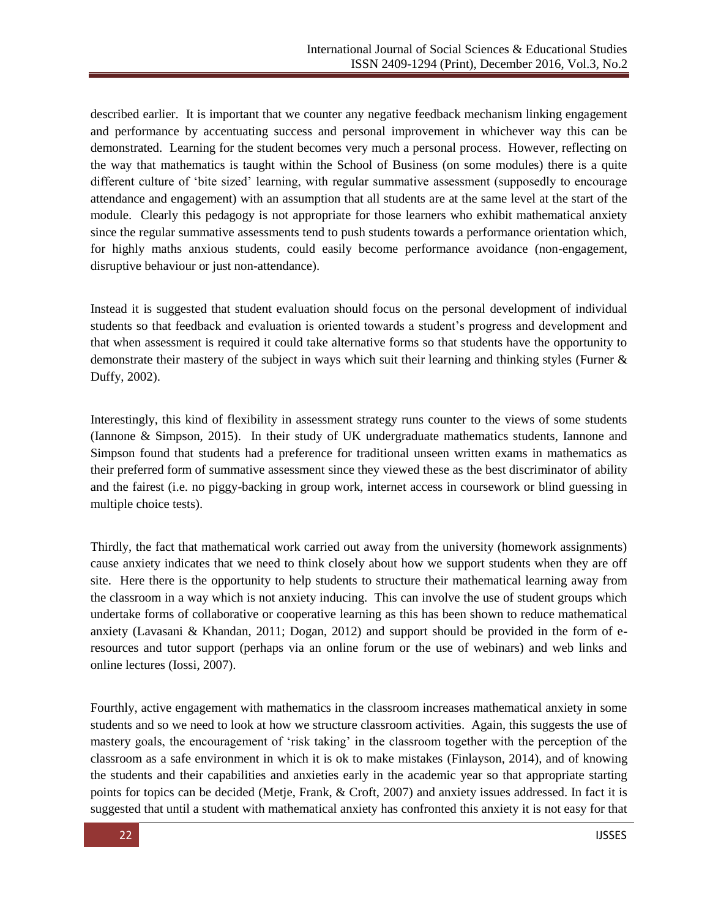described earlier. It is important that we counter any negative feedback mechanism linking engagement and performance by accentuating success and personal improvement in whichever way this can be demonstrated. Learning for the student becomes very much a personal process. However, reflecting on the way that mathematics is taught within the School of Business (on some modules) there is a quite different culture of 'bite sized' learning, with regular summative assessment (supposedly to encourage attendance and engagement) with an assumption that all students are at the same level at the start of the module. Clearly this pedagogy is not appropriate for those learners who exhibit mathematical anxiety since the regular summative assessments tend to push students towards a performance orientation which, for highly maths anxious students, could easily become performance avoidance (non-engagement, disruptive behaviour or just non-attendance).

Instead it is suggested that student evaluation should focus on the personal development of individual students so that feedback and evaluation is oriented towards a student's progress and development and that when assessment is required it could take alternative forms so that students have the opportunity to demonstrate their mastery of the subject in ways which suit their learning and thinking styles (Furner & Duffy, 2002).

Interestingly, this kind of flexibility in assessment strategy runs counter to the views of some students (Iannone & Simpson, 2015). In their study of UK undergraduate mathematics students, Iannone and Simpson found that students had a preference for traditional unseen written exams in mathematics as their preferred form of summative assessment since they viewed these as the best discriminator of ability and the fairest (i.e. no piggy-backing in group work, internet access in coursework or blind guessing in multiple choice tests).

Thirdly, the fact that mathematical work carried out away from the university (homework assignments) cause anxiety indicates that we need to think closely about how we support students when they are off site. Here there is the opportunity to help students to structure their mathematical learning away from the classroom in a way which is not anxiety inducing. This can involve the use of student groups which undertake forms of collaborative or cooperative learning as this has been shown to reduce mathematical anxiety (Lavasani & Khandan, 2011; Dogan, 2012) and support should be provided in the form of eresources and tutor support (perhaps via an online forum or the use of webinars) and web links and online lectures (Iossi, 2007).

Fourthly, active engagement with mathematics in the classroom increases mathematical anxiety in some students and so we need to look at how we structure classroom activities. Again, this suggests the use of mastery goals, the encouragement of 'risk taking' in the classroom together with the perception of the classroom as a safe environment in which it is ok to make mistakes (Finlayson, 2014), and of knowing the students and their capabilities and anxieties early in the academic year so that appropriate starting points for topics can be decided (Metje, Frank, & Croft, 2007) and anxiety issues addressed. In fact it is suggested that until a student with mathematical anxiety has confronted this anxiety it is not easy for that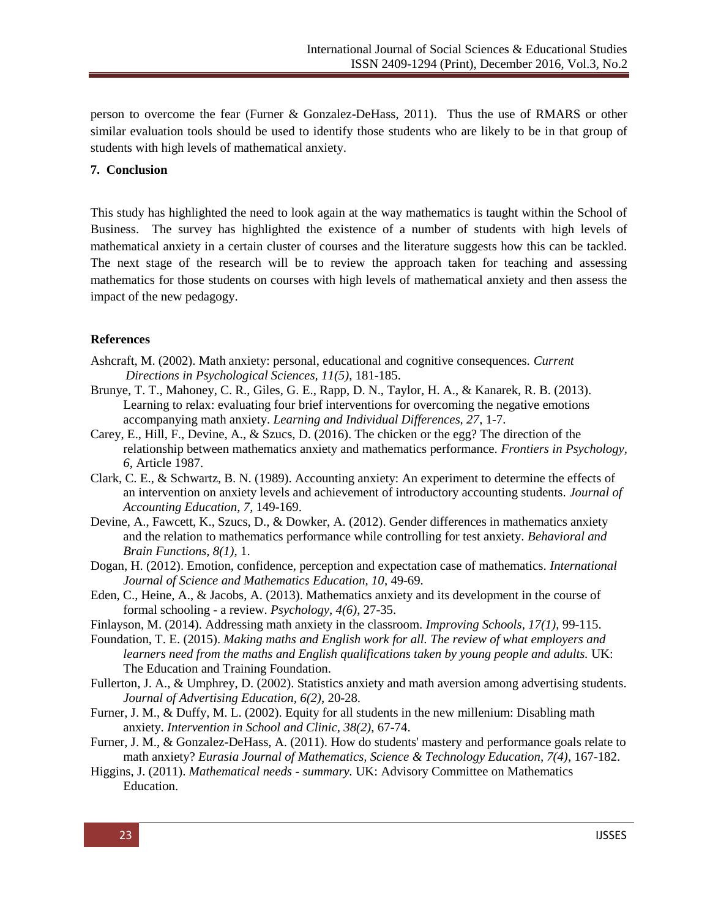person to overcome the fear (Furner & Gonzalez-DeHass, 2011). Thus the use of RMARS or other similar evaluation tools should be used to identify those students who are likely to be in that group of students with high levels of mathematical anxiety.

#### **7. Conclusion**

This study has highlighted the need to look again at the way mathematics is taught within the School of Business. The survey has highlighted the existence of a number of students with high levels of mathematical anxiety in a certain cluster of courses and the literature suggests how this can be tackled. The next stage of the research will be to review the approach taken for teaching and assessing mathematics for those students on courses with high levels of mathematical anxiety and then assess the impact of the new pedagogy.

#### **References**

- Ashcraft, M. (2002). Math anxiety: personal, educational and cognitive consequences. *Current Directions in Psychological Sciences, 11(5)*, 181-185.
- Brunye, T. T., Mahoney, C. R., Giles, G. E., Rapp, D. N., Taylor, H. A., & Kanarek, R. B. (2013). Learning to relax: evaluating four brief interventions for overcoming the negative emotions accompanying math anxiety. *Learning and Individual Differences, 27*, 1-7.
- Carey, E., Hill, F., Devine, A., & Szucs, D. (2016). The chicken or the egg? The direction of the relationship between mathematics anxiety and mathematics performance. *Frontiers in Psychology, 6*, Article 1987.
- Clark, C. E., & Schwartz, B. N. (1989). Accounting anxiety: An experiment to determine the effects of an intervention on anxiety levels and achievement of introductory accounting students. *Journal of Accounting Education, 7*, 149-169.
- Devine, A., Fawcett, K., Szucs, D., & Dowker, A. (2012). Gender differences in mathematics anxiety and the relation to mathematics performance while controlling for test anxiety. *Behavioral and Brain Functions, 8(1)*, 1.
- Dogan, H. (2012). Emotion, confidence, perception and expectation case of mathematics. *International Journal of Science and Mathematics Education, 10*, 49-69.
- Eden, C., Heine, A., & Jacobs, A. (2013). Mathematics anxiety and its development in the course of formal schooling - a review. *Psychology, 4(6)*, 27-35.
- Finlayson, M. (2014). Addressing math anxiety in the classroom. *Improving Schools, 17(1)*, 99-115.
- Foundation, T. E. (2015). *Making maths and English work for all. The review of what employers and learners need from the maths and English qualifications taken by young people and adults.* UK: The Education and Training Foundation.
- Fullerton, J. A., & Umphrey, D. (2002). Statistics anxiety and math aversion among advertising students. *Journal of Advertising Education, 6(2)*, 20-28.
- Furner, J. M., & Duffy, M. L. (2002). Equity for all students in the new millenium: Disabling math anxiety. *Intervention in School and Clinic, 38(2)*, 67-74.
- Furner, J. M., & Gonzalez-DeHass, A. (2011). How do students' mastery and performance goals relate to math anxiety? *Eurasia Journal of Mathematics, Science & Technology Education, 7(4)*, 167-182.
- Higgins, J. (2011). *Mathematical needs - summary.* UK: Advisory Committee on Mathematics Education.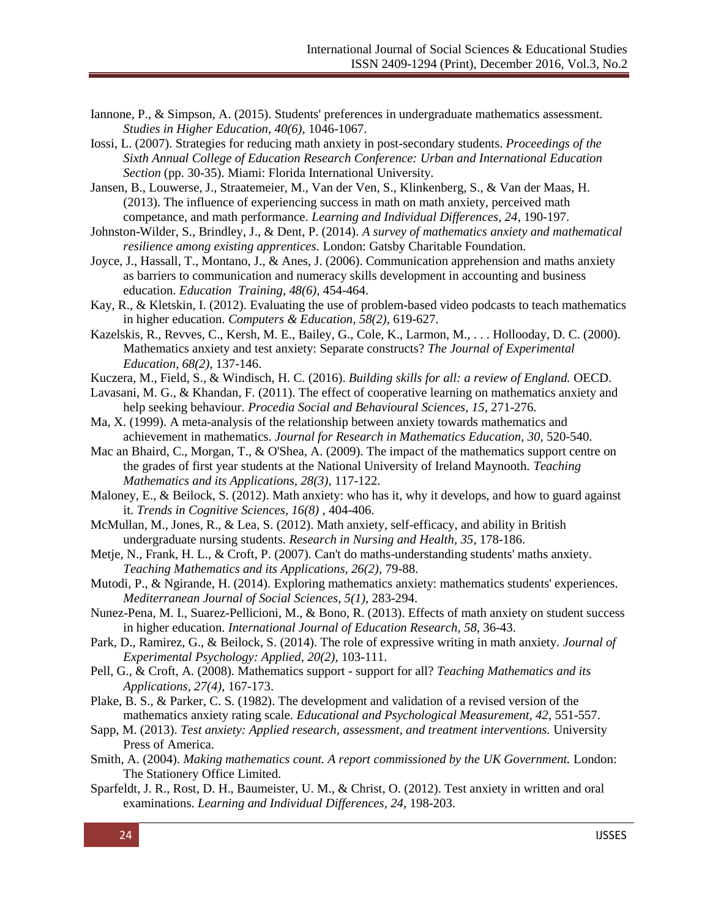- Iannone, P., & Simpson, A. (2015). Students' preferences in undergraduate mathematics assessment. *Studies in Higher Education, 40(6)*, 1046-1067.
- Iossi, L. (2007). Strategies for reducing math anxiety in post-secondary students. *Proceedings of the Sixth Annual College of Education Research Conference: Urban and International Education Section* (pp. 30-35). Miami: Florida International University.
- Jansen, B., Louwerse, J., Straatemeier, M., Van der Ven, S., Klinkenberg, S., & Van der Maas, H. (2013). The influence of experiencing success in math on math anxiety, perceived math competance, and math performance. *Learning and Individual Differences, 24*, 190-197.
- Johnston-Wilder, S., Brindley, J., & Dent, P. (2014). *A survey of mathematics anxiety and mathematical resilience among existing apprentices.* London: Gatsby Charitable Foundation.
- Joyce, J., Hassall, T., Montano, J., & Anes, J. (2006). Communication apprehension and maths anxiety as barriers to communication and numeracy skills development in accounting and business education. *Education Training, 48(6)*, 454-464.
- Kay, R., & Kletskin, I. (2012). Evaluating the use of problem-based video podcasts to teach mathematics in higher education. *Computers & Education, 58(2)*, 619-627.
- Kazelskis, R., Revves, C., Kersh, M. E., Bailey, G., Cole, K., Larmon, M., . . . Hollooday, D. C. (2000). Mathematics anxiety and test anxiety: Separate constructs? *The Journal of Experimental Education, 68(2)*, 137-146.
- Kuczera, M., Field, S., & Windisch, H. C. (2016). *Building skills for all: a review of England.* OECD.
- Lavasani, M. G., & Khandan, F. (2011). The effect of cooperative learning on mathematics anxiety and help seeking behaviour. *Procedia Social and Behavioural Sciences, 15*, 271-276.
- Ma, X. (1999). A meta-analysis of the relationship between anxiety towards mathematics and achievement in mathematics. *Journal for Research in Mathematics Education, 30*, 520-540.
- Mac an Bhaird, C., Morgan, T., & O'Shea, A. (2009). The impact of the mathematics support centre on the grades of first year students at the National University of Ireland Maynooth. *Teaching Mathematics and its Applications, 28(3)*, 117-122.
- Maloney, E., & Beilock, S. (2012). Math anxiety: who has it, why it develops, and how to guard against it. *Trends in Cognitive Sciences, 16(8)* , 404-406.
- McMullan, M., Jones, R., & Lea, S. (2012). Math anxiety, self-efficacy, and ability in British undergraduate nursing students. *Research in Nursing and Health, 35*, 178-186.
- Metje, N., Frank, H. L., & Croft, P. (2007). Can't do maths-understanding students' maths anxiety. *Teaching Mathematics and its Applications, 26(2)*, 79-88.
- Mutodi, P., & Ngirande, H. (2014). Exploring mathematics anxiety: mathematics students' experiences. *Mediterranean Journal of Social Sciences, 5(1)*, 283-294.
- Nunez-Pena, M. I., Suarez-Pellicioni, M., & Bono, R. (2013). Effects of math anxiety on student success in higher education. *International Journal of Education Research, 58*, 36-43.
- Park, D., Ramirez, G., & Beilock, S. (2014). The role of expressive writing in math anxiety. *Journal of Experimental Psychology: Applied, 20(2)*, 103-111.
- Pell, G., & Croft, A. (2008). Mathematics support support for all? *Teaching Mathematics and its Applications, 27(4)*, 167-173.
- Plake, B. S., & Parker, C. S. (1982). The development and validation of a revised version of the mathematics anxiety rating scale. *Educational and Psychological Measurement, 42*, 551-557.
- Sapp, M. (2013). *Test anxiety: Applied research, assessment, and treatment interventions.* University Press of America.
- Smith, A. (2004). *Making mathematics count. A report commissioned by the UK Government.* London: The Stationery Office Limited.
- Sparfeldt, J. R., Rost, D. H., Baumeister, U. M., & Christ, O. (2012). Test anxiety in written and oral examinations. *Learning and Individual Differences, 24*, 198-203.